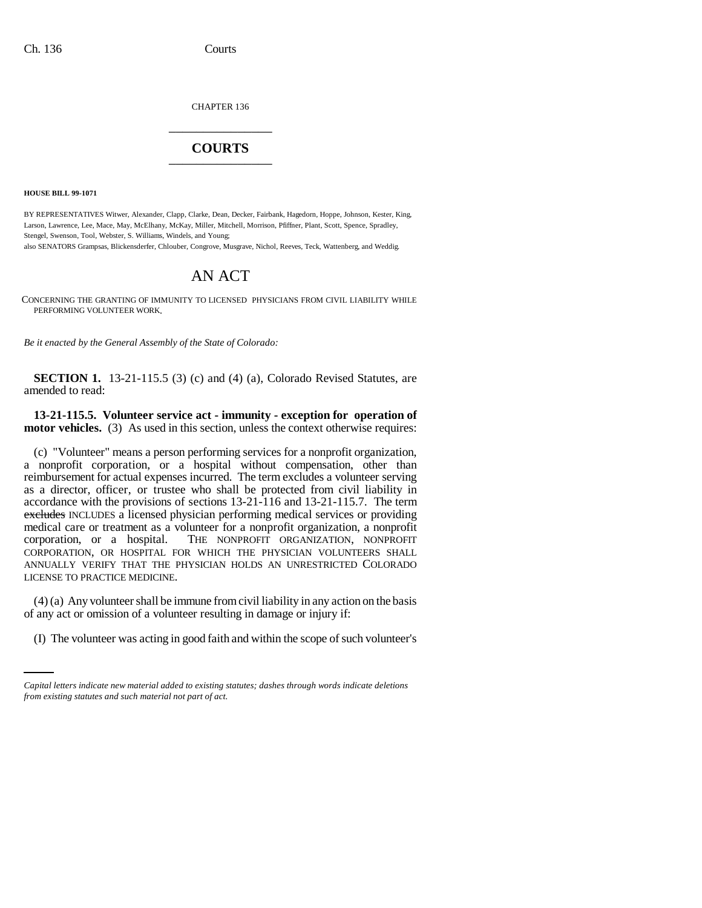CHAPTER 136 \_\_\_\_\_\_\_\_\_\_\_\_\_\_\_

## **COURTS** \_\_\_\_\_\_\_\_\_\_\_\_\_\_\_

**HOUSE BILL 99-1071** 

BY REPRESENTATIVES Witwer, Alexander, Clapp, Clarke, Dean, Decker, Fairbank, Hagedorn, Hoppe, Johnson, Kester, King, Larson, Lawrence, Lee, Mace, May, McElhany, McKay, Miller, Mitchell, Morrison, Pfiffner, Plant, Scott, Spence, Spradley, Stengel, Swenson, Tool, Webster, S. Williams, Windels, and Young;

also SENATORS Grampsas, Blickensderfer, Chlouber, Congrove, Musgrave, Nichol, Reeves, Teck, Wattenberg, and Weddig.

## AN ACT

CONCERNING THE GRANTING OF IMMUNITY TO LICENSED PHYSICIANS FROM CIVIL LIABILITY WHILE PERFORMING VOLUNTEER WORK.

*Be it enacted by the General Assembly of the State of Colorado:*

**SECTION 1.** 13-21-115.5 (3) (c) and (4) (a), Colorado Revised Statutes, are amended to read:

**13-21-115.5. Volunteer service act - immunity - exception for operation of motor vehicles.** (3) As used in this section, unless the context otherwise requires:

(c) "Volunteer" means a person performing services for a nonprofit organization, a nonprofit corporation, or a hospital without compensation, other than reimbursement for actual expenses incurred. The term excludes a volunteer serving as a director, officer, or trustee who shall be protected from civil liability in accordance with the provisions of sections 13-21-116 and 13-21-115.7. The term excludes INCLUDES a licensed physician performing medical services or providing medical care or treatment as a volunteer for a nonprofit organization, a nonprofit corporation, or a hospital. THE NONPROFIT ORGANIZATION, NONPROFIT CORPORATION, OR HOSPITAL FOR WHICH THE PHYSICIAN VOLUNTEERS SHALL ANNUALLY VERIFY THAT THE PHYSICIAN HOLDS AN UNRESTRICTED COLORADO LICENSE TO PRACTICE MEDICINE.

of any act or omission of a volunteer resulting in damage or injury if: (4) (a) Any volunteer shall be immune from civil liability in any action on the basis

(I) The volunteer was acting in good faith and within the scope of such volunteer's

*Capital letters indicate new material added to existing statutes; dashes through words indicate deletions from existing statutes and such material not part of act.*